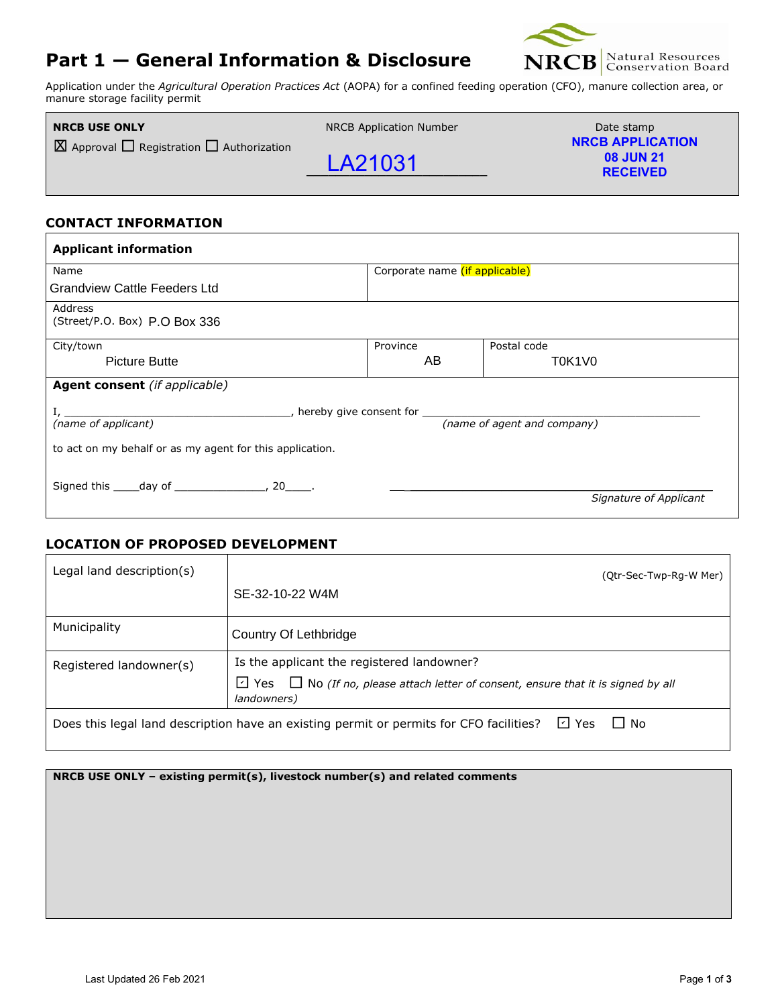# **Part 1 — General Information & Disclosure**



Application under the *Agricultural Operation Practices Act* (AOPA) for a confined feeding operation (CFO), manure collection area, or manure storage facility permit

| <b>NRCB USE ONLY</b>                                     | <b>NRCB Application Number</b> | Date stamp                                                     |
|----------------------------------------------------------|--------------------------------|----------------------------------------------------------------|
| $\Box$ Approval $\Box$ Registration $\Box$ Authorization | LA21031                        | <b>NRCB APPLICATION</b><br><b>08 JUN 21</b><br><b>RECEIVED</b> |

### **CONTACT INFORMATION**

| <b>Applicant information</b>                                                                                                                                                                                                                                                                               |                 |                                |                        |  |  |
|------------------------------------------------------------------------------------------------------------------------------------------------------------------------------------------------------------------------------------------------------------------------------------------------------------|-----------------|--------------------------------|------------------------|--|--|
| Name                                                                                                                                                                                                                                                                                                       |                 | Corporate name (if applicable) |                        |  |  |
| <b>Grandview Cattle Feeders Ltd</b>                                                                                                                                                                                                                                                                        |                 |                                |                        |  |  |
| Address<br>(Street/P.O. Box) P.O Box 336                                                                                                                                                                                                                                                                   |                 |                                |                        |  |  |
| City/town                                                                                                                                                                                                                                                                                                  |                 | Province                       | Postal code            |  |  |
| <b>Picture Butte</b>                                                                                                                                                                                                                                                                                       |                 | AB                             | T0K1V0                 |  |  |
| <b>Agent consent</b> (if applicable)                                                                                                                                                                                                                                                                       |                 |                                |                        |  |  |
| $I,$ $\frac{I}{I}$ $\frac{I}{I}$ $\frac{I}{I}$ $\frac{I}{I}$ $\frac{I}{I}$ $\frac{I}{I}$ hereby give consent for $\frac{I}{I}$ $\frac{I}{I}$ $\frac{I}{I}$ $\frac{I}{I}$ $\frac{I}{I}$ $\frac{I}{I}$ $\frac{I}{I}$ $\frac{I}{I}$ $\frac{I}{I}$ $\frac{I}{I}$ $\frac{I}{I}$ $\frac{I}{I}$ $\frac{I}{I}$ $\$ |                 |                                |                        |  |  |
| to act on my behalf or as my agent for this application.                                                                                                                                                                                                                                                   |                 |                                |                        |  |  |
| Signed this _____ day of _________________, 20______.                                                                                                                                                                                                                                                      |                 |                                | Signature of Applicant |  |  |
| <b>LOCATION OF PROPOSED DEVELOPMENT</b>                                                                                                                                                                                                                                                                    |                 |                                |                        |  |  |
| Legal land description(s)                                                                                                                                                                                                                                                                                  |                 |                                | (Qtr-Sec-Twp-Rg-W Mer) |  |  |
|                                                                                                                                                                                                                                                                                                            | SE-32-10-22 W4M |                                |                        |  |  |

### **LOCATION OF PROPOSED DEVELOPMENT**

| Legal land description(s)                                                                                     | (Qtr-Sec-Twp-Rg-W Mer)                                                                                       |  |  |
|---------------------------------------------------------------------------------------------------------------|--------------------------------------------------------------------------------------------------------------|--|--|
|                                                                                                               | SE-32-10-22 W4M                                                                                              |  |  |
| Municipality                                                                                                  | Country Of Lethbridge                                                                                        |  |  |
| Registered landowner(s)                                                                                       | Is the applicant the registered landowner?                                                                   |  |  |
|                                                                                                               | $\Box$ Yes $\Box$ No (If no, please attach letter of consent, ensure that it is signed by all<br>landowners) |  |  |
| ⊡ Yes<br>$\Box$ No<br>Does this legal land description have an existing permit or permits for CFO facilities? |                                                                                                              |  |  |

**NRCB USE ONLY – existing permit(s), livestock number(s) and related comments**